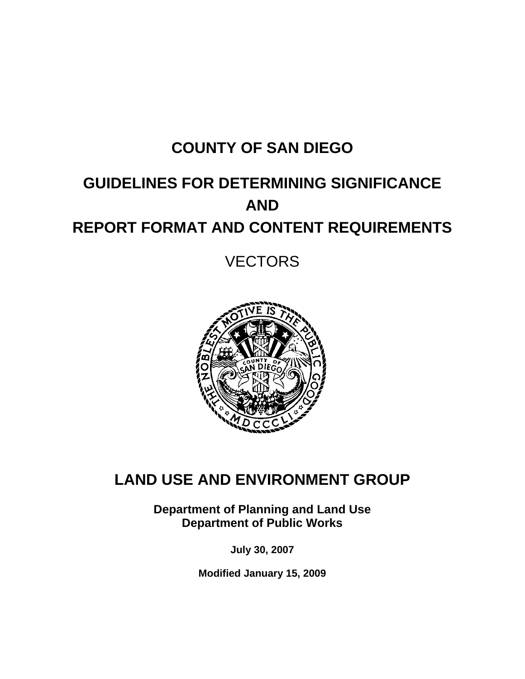# **COUNTY OF SAN DIEGO**

# **GUIDELINES FOR DETERMINING SIGNIFICANCE AND REPORT FORMAT AND CONTENT REQUIREMENTS**

**VECTORS** 



## **LAND USE AND ENVIRONMENT GROUP**

**Department of Planning and Land Use Department of Public Works** 

**July 30, 2007** 

**Modified January 15, 2009**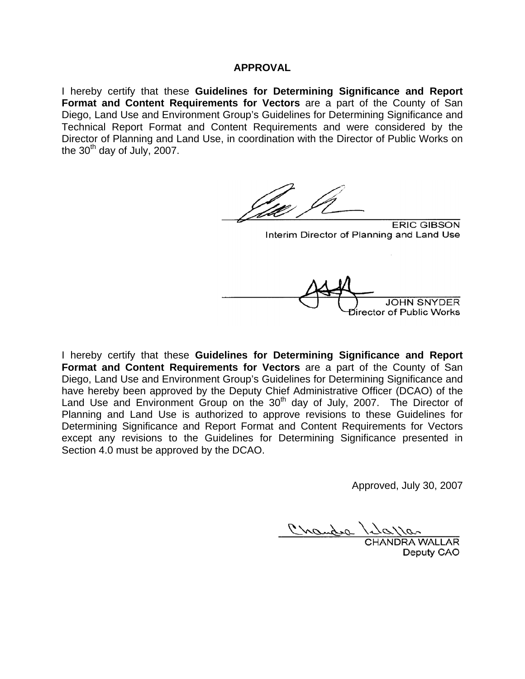#### **APPROVAL**

I hereby certify that these **Guidelines for Determining Significance and Report Format and Content Requirements for Vectors** are a part of the County of San Diego, Land Use and Environment Group's Guidelines for Determining Significance and Technical Report Format and Content Requirements and were considered by the Director of Planning and Land Use, in coordination with the Director of Public Works on the  $30<sup>th</sup>$  day of July, 2007.

**ERIC GIBSON** 

Interim Director of Planning and Land Use

irector of Public Works

I hereby certify that these **Guidelines for Determining Significance and Report Format and Content Requirements for Vectors** are a part of the County of San Diego, Land Use and Environment Group's Guidelines for Determining Significance and have hereby been approved by the Deputy Chief Administrative Officer (DCAO) of the Land Use and Environment Group on the 30<sup>th</sup> day of July, 2007. The Director of Planning and Land Use is authorized to approve revisions to these Guidelines for Determining Significance and Report Format and Content Requirements for Vectors except any revisions to the Guidelines for Determining Significance presented in Section 4.0 must be approved by the DCAO.

Approved, July 30, 2007

Crambre

CHANDRA WALLAR Deputy CAO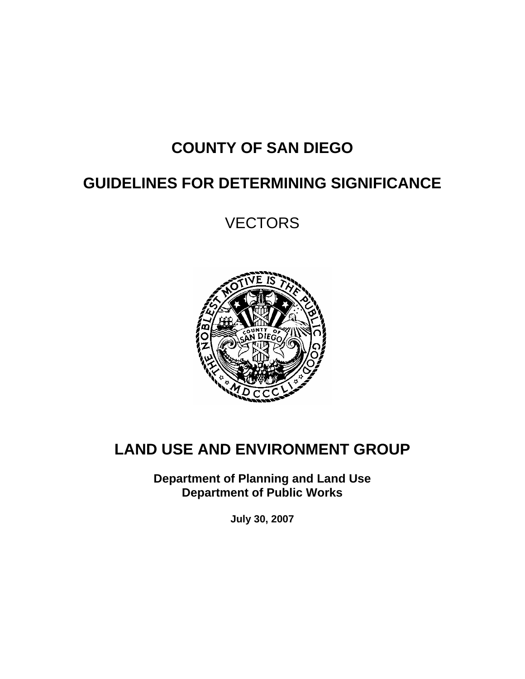# **COUNTY OF SAN DIEGO**

## **GUIDELINES FOR DETERMINING SIGNIFICANCE**

**VECTORS** 



# **LAND USE AND ENVIRONMENT GROUP**

**Department of Planning and Land Use Department of Public Works** 

**July 30, 2007**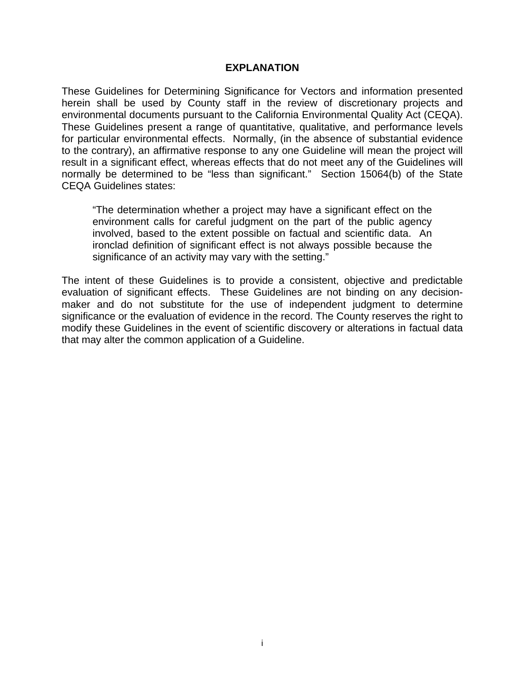#### **EXPLANATION**

These Guidelines for Determining Significance for Vectors and information presented herein shall be used by County staff in the review of discretionary projects and environmental documents pursuant to the California Environmental Quality Act (CEQA). These Guidelines present a range of quantitative, qualitative, and performance levels for particular environmental effects. Normally, (in the absence of substantial evidence to the contrary), an affirmative response to any one Guideline will mean the project will result in a significant effect, whereas effects that do not meet any of the Guidelines will normally be determined to be "less than significant." Section 15064(b) of the State CEQA Guidelines states:

"The determination whether a project may have a significant effect on the environment calls for careful judgment on the part of the public agency involved, based to the extent possible on factual and scientific data. An ironclad definition of significant effect is not always possible because the significance of an activity may vary with the setting."

The intent of these Guidelines is to provide a consistent, objective and predictable evaluation of significant effects. These Guidelines are not binding on any decisionmaker and do not substitute for the use of independent judgment to determine significance or the evaluation of evidence in the record. The County reserves the right to modify these Guidelines in the event of scientific discovery or alterations in factual data that may alter the common application of a Guideline.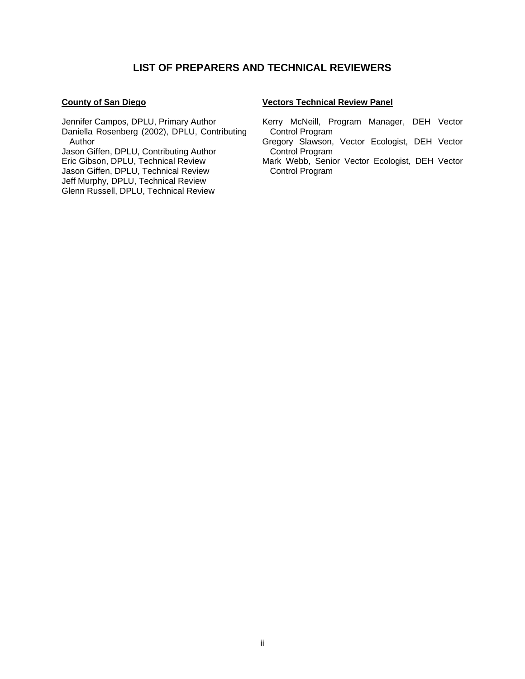#### **LIST OF PREPARERS AND TECHNICAL REVIEWERS**

#### **County of San Diego**

Jennifer Campos, DPLU, Primary Author Daniella Rosenberg (2002), DPLU, Contributing Author

Jason Giffen, DPLU, Contributing Author

Eric Gibson, DPLU, Technical Review

Jason Giffen, DPLU, Technical Review

Jeff Murphy, DPLU, Technical Review

Glenn Russell, DPLU, Technical Review

#### **Vectors Technical Review Panel**

- Kerry McNeill, Program Manager, DEH Vector Control Program
- Gregory Slawson, Vector Ecologist, DEH Vector Control Program
- Mark Webb, Senior Vector Ecologist, DEH Vector Control Program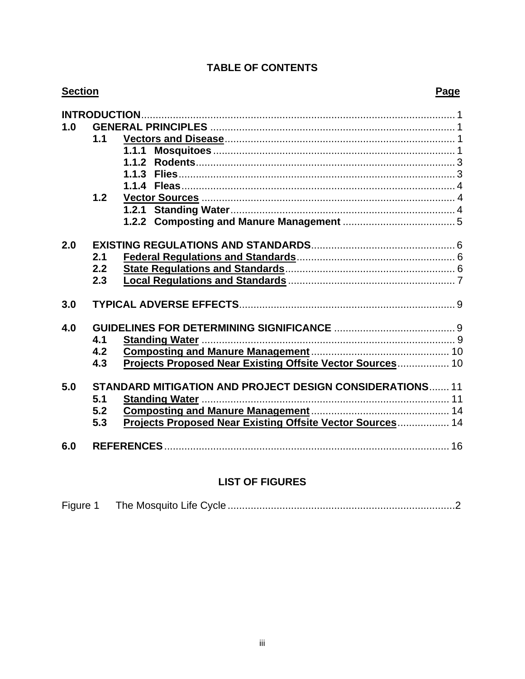#### **TABLE OF CONTENTS**

| <b>Section</b> | Page                                                                                                                                              |  |
|----------------|---------------------------------------------------------------------------------------------------------------------------------------------------|--|
| 1.0            | 1.1<br>1.1.1<br>1.1.2<br>1.1.3<br>1.2                                                                                                             |  |
| 2.0<br>3.0     | 2.1<br>2.2<br>2.3                                                                                                                                 |  |
| 4.0            | 4.1<br>4.2<br>Projects Proposed Near Existing Offsite Vector Sources 10<br>4.3                                                                    |  |
| 5.0            | <b>STANDARD MITIGATION AND PROJECT DESIGN CONSIDERATIONS 11</b><br>5.1<br>5.2<br>Projects Proposed Near Existing Offsite Vector Sources 14<br>5.3 |  |
| 6.0            |                                                                                                                                                   |  |

## **LIST OF FIGURES**

| Figure 1 |  |  |
|----------|--|--|
|----------|--|--|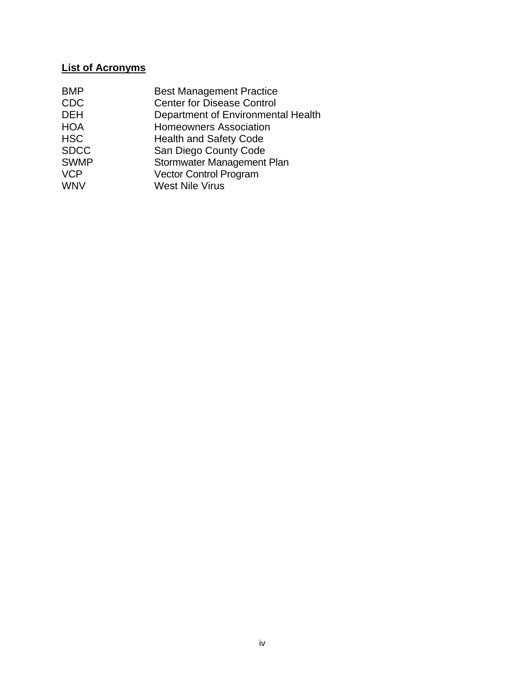## **List of Acronyms**

| Department of Environmental Health |
|------------------------------------|
|                                    |
|                                    |
|                                    |
|                                    |
|                                    |
|                                    |
|                                    |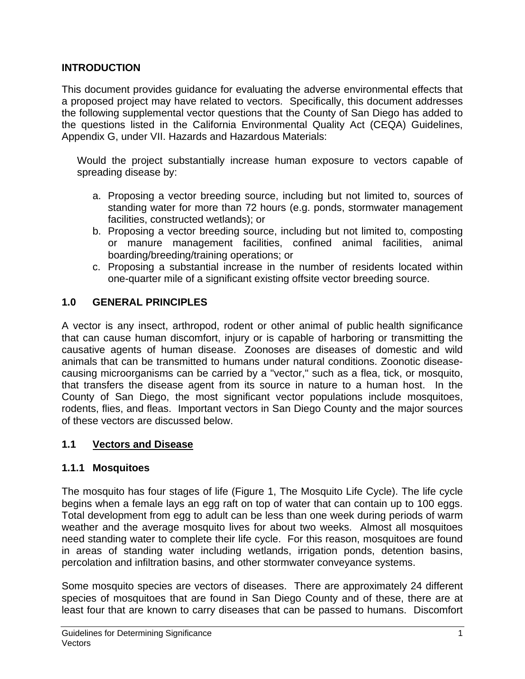## **INTRODUCTION**

This document provides guidance for evaluating the adverse environmental effects that a proposed project may have related to vectors. Specifically, this document addresses the following supplemental vector questions that the County of San Diego has added to the questions listed in the California Environmental Quality Act (CEQA) Guidelines, Appendix G, under VII. Hazards and Hazardous Materials:

Would the project substantially increase human exposure to vectors capable of spreading disease by:

- a. Proposing a vector breeding source, including but not limited to, sources of standing water for more than 72 hours (e.g. ponds, stormwater management facilities, constructed wetlands); or
- b. Proposing a vector breeding source, including but not limited to, composting or manure management facilities, confined animal facilities, animal boarding/breeding/training operations; or
- c. Proposing a substantial increase in the number of residents located within one-quarter mile of a significant existing offsite vector breeding source.

## **1.0 GENERAL PRINCIPLES**

A vector is any insect, arthropod, rodent or other animal of public health significance that can cause human discomfort, injury or is capable of harboring or transmitting the causative agents of human disease. Zoonoses are diseases of domestic and wild animals that can be transmitted to humans under natural conditions. Zoonotic diseasecausing microorganisms can be carried by a "vector," such as a flea, tick, or mosquito, that transfers the disease agent from its source in nature to a human host. In the County of San Diego, the most significant vector populations include mosquitoes, rodents, flies, and fleas. Important vectors in San Diego County and the major sources of these vectors are discussed below.

#### **1.1 Vectors and Disease**

#### **1.1.1 Mosquitoes**

The mosquito has four stages of life (Figure 1, The Mosquito Life Cycle). The life cycle begins when a female lays an egg raft on top of water that can contain up to 100 eggs. Total development from egg to adult can be less than one week during periods of warm weather and the average mosquito lives for about two weeks. Almost all mosquitoes need standing water to complete their life cycle. For this reason, mosquitoes are found in areas of standing water including wetlands, irrigation ponds, detention basins, percolation and infiltration basins, and other stormwater conveyance systems.

Some mosquito species are vectors of diseases. There are approximately 24 different species of mosquitoes that are found in San Diego County and of these, there are at least four that are known to carry diseases that can be passed to humans. Discomfort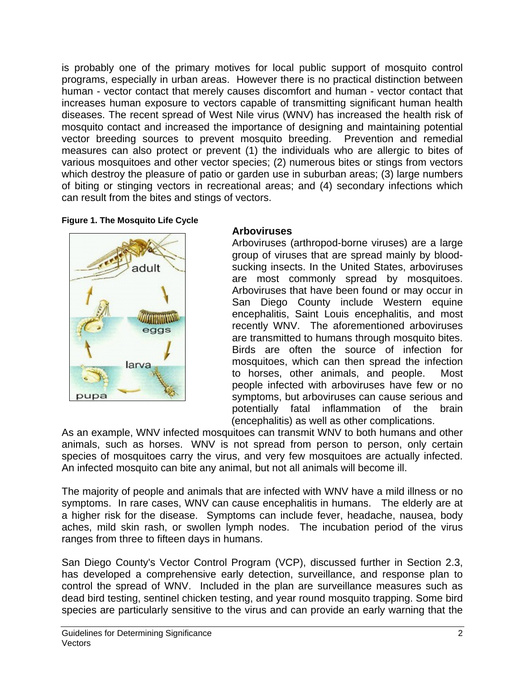is probably one of the primary motives for local public support of mosquito control programs, especially in urban areas. However there is no practical distinction between human - vector contact that merely causes discomfort and human - vector contact that increases human exposure to vectors capable of transmitting significant human health diseases. The recent spread of West Nile virus (WNV) has increased the health risk of mosquito contact and increased the importance of designing and maintaining potential vector breeding sources to prevent mosquito breeding. Prevention and remedial measures can also protect or prevent (1) the individuals who are allergic to bites of various mosquitoes and other vector species; (2) numerous bites or stings from vectors which destroy the pleasure of patio or garden use in suburban areas; (3) large numbers of biting or stinging vectors in recreational areas; and (4) secondary infections which can result from the bites and stings of vectors.

#### **Figure 1. The Mosquito Life Cycle**



## **Arboviruses**

Arboviruses (arthropod-borne viruses) are a large group of viruses that are spread mainly by bloodsucking insects. In the United States, arboviruses are most commonly spread by mosquitoes. Arboviruses that have been found or may occur in San Diego County include Western equine encephalitis, Saint Louis encephalitis, and most recently WNV. The aforementioned arboviruses are transmitted to humans through mosquito bites. Birds are often the source of infection for mosquitoes, which can then spread the infection to horses, other animals, and people. Most people infected with arboviruses have few or no symptoms, but arboviruses can cause serious and potentially fatal inflammation of the brain (encephalitis) as well as other complications.

As an example, WNV infected mosquitoes can transmit WNV to both humans and other animals, such as horses. WNV is not spread from person to person, only certain species of mosquitoes carry the virus, and very few mosquitoes are actually infected. An infected mosquito can bite any animal, but not all animals will become ill.

The majority of people and animals that are infected with WNV have a mild illness or no symptoms. In rare cases, WNV can cause encephalitis in humans. The elderly are at a higher risk for the disease. Symptoms can include fever, headache, nausea, body aches, mild skin rash, or swollen lymph nodes. The incubation period of the virus ranges from three to fifteen days in humans.

San Diego County's Vector Control Program (VCP), discussed further in Section 2.3, has developed a comprehensive early detection, surveillance, and response plan to control the spread of WNV. Included in the plan are surveillance measures such as dead bird testing, sentinel chicken testing, and year round mosquito trapping. Some bird species are particularly sensitive to the virus and can provide an early warning that the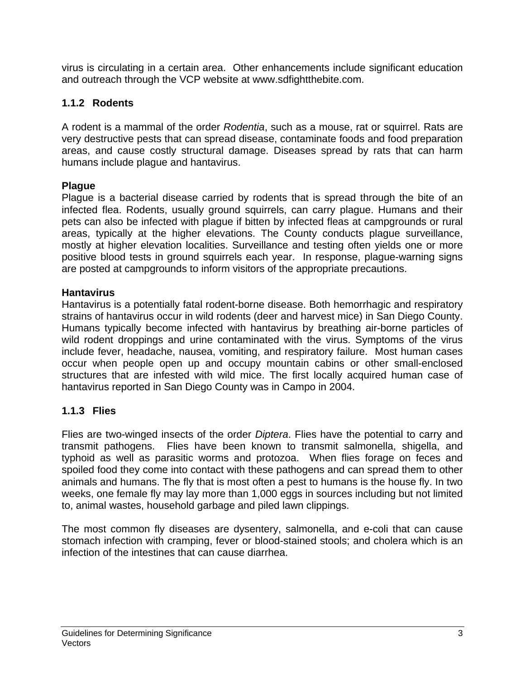virus is circulating in a certain area. Other enhancements include significant education and outreach through the VCP website at www.sdfightthebite.com.

## **1.1.2 Rodents**

A rodent is a mammal of the order *Rodentia*, such as a mouse, rat or squirrel. Rats are very destructive pests that can spread disease, contaminate foods and food preparation areas, and cause costly structural damage. Diseases spread by rats that can harm humans include plague and hantavirus.

#### **Plague**

Plague is a bacterial disease carried by rodents that is spread through the bite of an infected flea. Rodents, usually ground squirrels, can carry plague. Humans and their pets can also be infected with plague if bitten by infected fleas at campgrounds or rural areas, typically at the higher elevations. The County conducts plague surveillance, mostly at higher elevation localities. Surveillance and testing often yields one or more positive blood tests in ground squirrels each year. In response, plague-warning signs are posted at campgrounds to inform visitors of the appropriate precautions.

#### **Hantavirus**

Hantavirus is a potentially fatal rodent-borne disease. Both hemorrhagic and respiratory strains of hantavirus occur in wild rodents (deer and harvest mice) in San Diego County. Humans typically become infected with hantavirus by breathing air-borne particles of wild rodent droppings and urine contaminated with the virus. Symptoms of the virus include fever, headache, nausea, vomiting, and respiratory failure. Most human cases occur when people open up and occupy mountain cabins or other small-enclosed structures that are infested with wild mice. The first locally acquired human case of hantavirus reported in San Diego County was in Campo in 2004.

## **1.1.3 Flies**

Flies are two-winged insects of the order *Diptera*. Flies have the potential to carry and transmit pathogens. Flies have been known to transmit salmonella, shigella, and typhoid as well as parasitic worms and protozoa. When flies forage on feces and spoiled food they come into contact with these pathogens and can spread them to other animals and humans. The fly that is most often a pest to humans is the house fly. In two weeks, one female fly may lay more than 1,000 eggs in sources including but not limited to, animal wastes, household garbage and piled lawn clippings.

The most common fly diseases are dysentery, salmonella, and e-coli that can cause stomach infection with cramping, fever or blood-stained stools; and cholera which is an infection of the intestines that can cause diarrhea.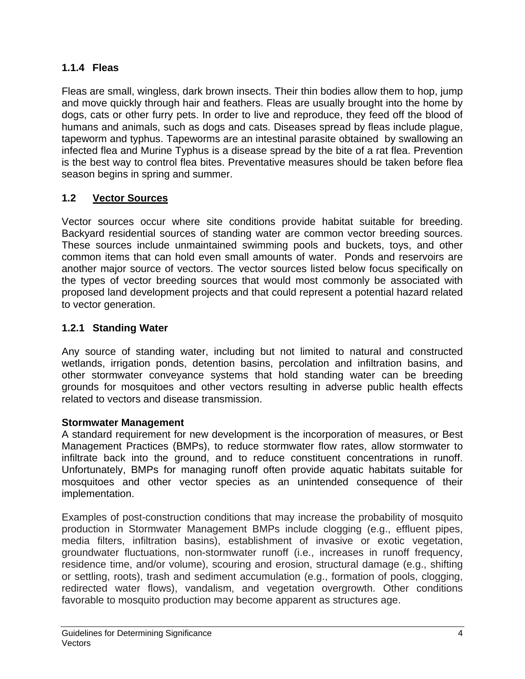## **1.1.4 Fleas**

Fleas are small, wingless, dark brown insects. Their thin bodies allow them to hop, jump and move quickly through hair and feathers. Fleas are usually brought into the home by dogs, cats or other furry pets. In order to live and reproduce, they feed off the blood of humans and animals, such as dogs and cats. Diseases spread by fleas include plague, tapeworm and typhus. Tapeworms are an intestinal parasite obtained by swallowing an infected flea and Murine Typhus is a disease spread by the bite of a rat flea. Prevention is the best way to control flea bites. Preventative measures should be taken before flea season begins in spring and summer.

## **1.2 Vector Sources**

Vector sources occur where site conditions provide habitat suitable for breeding. Backyard residential sources of standing water are common vector breeding sources. These sources include unmaintained swimming pools and buckets, toys, and other common items that can hold even small amounts of water. Ponds and reservoirs are another major source of vectors. The vector sources listed below focus specifically on the types of vector breeding sources that would most commonly be associated with proposed land development projects and that could represent a potential hazard related to vector generation.

## **1.2.1 Standing Water**

Any source of standing water, including but not limited to natural and constructed wetlands, irrigation ponds, detention basins, percolation and infiltration basins, and other stormwater conveyance systems that hold standing water can be breeding grounds for mosquitoes and other vectors resulting in adverse public health effects related to vectors and disease transmission.

## **Stormwater Management**

A standard requirement for new development is the incorporation of measures, or Best Management Practices (BMPs), to reduce stormwater flow rates, allow stormwater to infiltrate back into the ground, and to reduce constituent concentrations in runoff. Unfortunately, BMPs for managing runoff often provide aquatic habitats suitable for mosquitoes and other vector species as an unintended consequence of their implementation.

Examples of post-construction conditions that may increase the probability of mosquito production in Stormwater Management BMPs include clogging (e.g., effluent pipes, media filters, infiltration basins), establishment of invasive or exotic vegetation, groundwater fluctuations, non-stormwater runoff (i.e., increases in runoff frequency, residence time, and/or volume), scouring and erosion, structural damage (e.g., shifting or settling, roots), trash and sediment accumulation (e.g., formation of pools, clogging, redirected water flows), vandalism, and vegetation overgrowth. Other conditions favorable to mosquito production may become apparent as structures age.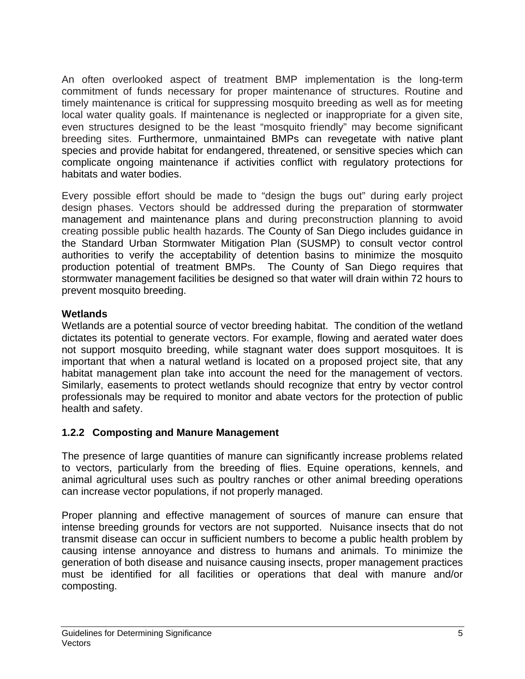An often overlooked aspect of treatment BMP implementation is the long-term commitment of funds necessary for proper maintenance of structures. Routine and timely maintenance is critical for suppressing mosquito breeding as well as for meeting local water quality goals. If maintenance is neglected or inappropriate for a given site, even structures designed to be the least "mosquito friendly" may become significant breeding sites. Furthermore, unmaintained BMPs can revegetate with native plant species and provide habitat for endangered, threatened, or sensitive species which can complicate ongoing maintenance if activities conflict with regulatory protections for habitats and water bodies.

Every possible effort should be made to "design the bugs out" during early project design phases. Vectors should be addressed during the preparation of stormwater management and maintenance plans and during preconstruction planning to avoid creating possible public health hazards. The County of San Diego includes guidance in the Standard Urban Stormwater Mitigation Plan (SUSMP) to consult vector control authorities to verify the acceptability of detention basins to minimize the mosquito production potential of treatment BMPs. The County of San Diego requires that stormwater management facilities be designed so that water will drain within 72 hours to prevent mosquito breeding.

#### **Wetlands**

Wetlands are a potential source of vector breeding habitat. The condition of the wetland dictates its potential to generate vectors. For example, flowing and aerated water does not support mosquito breeding, while stagnant water does support mosquitoes. It is important that when a natural wetland is located on a proposed project site, that any habitat management plan take into account the need for the management of vectors. Similarly, easements to protect wetlands should recognize that entry by vector control professionals may be required to monitor and abate vectors for the protection of public health and safety.

## **1.2.2 Composting and Manure Management**

The presence of large quantities of manure can significantly increase problems related to vectors, particularly from the breeding of flies. Equine operations, kennels, and animal agricultural uses such as poultry ranches or other animal breeding operations can increase vector populations, if not properly managed.

Proper planning and effective management of sources of manure can ensure that intense breeding grounds for vectors are not supported. Nuisance insects that do not transmit disease can occur in sufficient numbers to become a public health problem by causing intense annoyance and distress to humans and animals. To minimize the generation of both disease and nuisance causing insects, proper management practices must be identified for all facilities or operations that deal with manure and/or composting.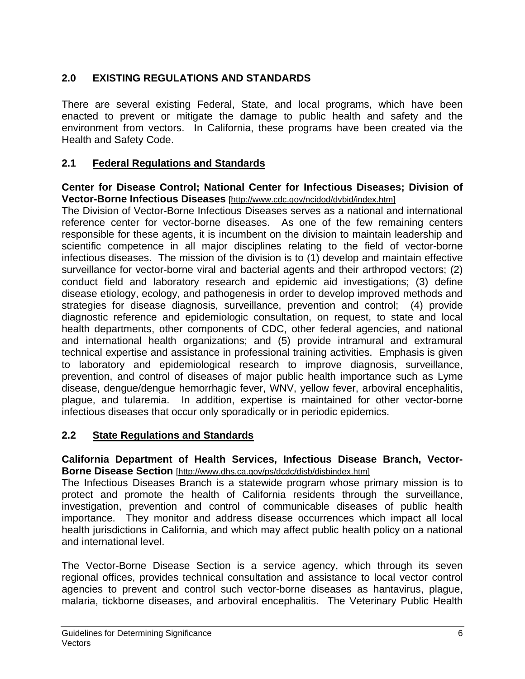## **2.0 EXISTING REGULATIONS AND STANDARDS**

There are several existing Federal, State, and local programs, which have been enacted to prevent or mitigate the damage to public health and safety and the environment from vectors. In California, these programs have been created via the Health and Safety Code.

#### **2.1 Federal Regulations and Standards**

**Center for Disease Control; National Center for Infectious Diseases; Division of Vector-Borne Infectious Diseases** [http://www.cdc.gov/ncidod/dvbid/index.htm]

The Division of Vector-Borne Infectious Diseases serves as a national and international reference center for vector-borne diseases. As one of the few remaining centers responsible for these agents, it is incumbent on the division to maintain leadership and scientific competence in all major disciplines relating to the field of vector-borne infectious diseases. The mission of the division is to (1) develop and maintain effective surveillance for vector-borne viral and bacterial agents and their arthropod vectors; (2) conduct field and laboratory research and epidemic aid investigations; (3) define disease etiology, ecology, and pathogenesis in order to develop improved methods and strategies for disease diagnosis, surveillance, prevention and control; (4) provide diagnostic reference and epidemiologic consultation, on request, to state and local health departments, other components of CDC, other federal agencies, and national and international health organizations; and (5) provide intramural and extramural technical expertise and assistance in professional training activities. Emphasis is given to laboratory and epidemiological research to improve diagnosis, surveillance, prevention, and control of diseases of major public health importance such as Lyme disease, dengue/dengue hemorrhagic fever, WNV, yellow fever, arboviral encephalitis, plague, and tularemia. In addition, expertise is maintained for other vector-borne infectious diseases that occur only sporadically or in periodic epidemics.

#### **2.2 State Regulations and Standards**

#### **California Department of Health Services, Infectious Disease Branch, Vector-Borne Disease Section** [http://www.dhs.ca.gov/ps/dcdc/disb/disbindex.htm]

The Infectious Diseases Branch is a statewide program whose primary mission is to protect and promote the health of California residents through the surveillance, investigation, prevention and control of communicable diseases of public health importance. They monitor and address disease occurrences which impact all local health jurisdictions in California, and which may affect public health policy on a national and international level.

The Vector-Borne Disease Section is a service agency, which through its seven regional offices, provides technical consultation and assistance to local vector control agencies to prevent and control such vector-borne diseases as hantavirus, plague, malaria, tickborne diseases, and arboviral encephalitis. The Veterinary Public Health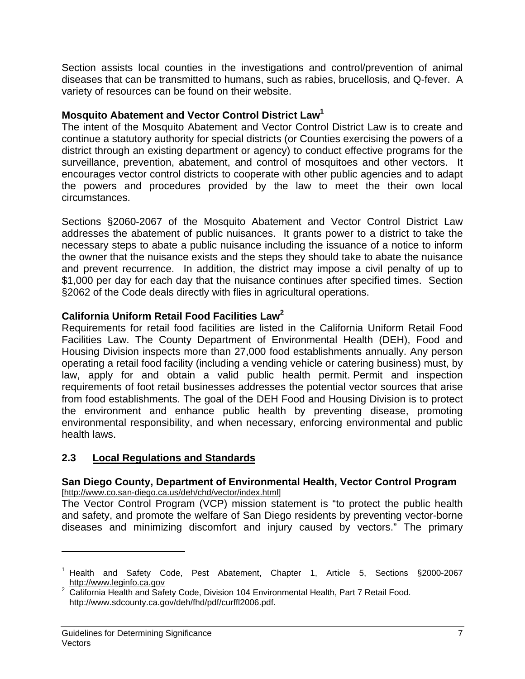Section assists local counties in the investigations and control/prevention of animal diseases that can be transmitted to humans, such as rabies, brucellosis, and Q-fever. A variety of resources can be found on their website.

#### **Mosquito Abatement and Vector Control District Law1**

The intent of the Mosquito Abatement and Vector Control District Law is to create and continue a statutory authority for special districts (or Counties exercising the powers of a district through an existing department or agency) to conduct effective programs for the surveillance, prevention, abatement, and control of mosquitoes and other vectors. It encourages vector control districts to cooperate with other public agencies and to adapt the powers and procedures provided by the law to meet the their own local circumstances.

Sections §2060-2067 of the Mosquito Abatement and Vector Control District Law addresses the abatement of public nuisances. It grants power to a district to take the necessary steps to abate a public nuisance including the issuance of a notice to inform the owner that the nuisance exists and the steps they should take to abate the nuisance and prevent recurrence. In addition, the district may impose a civil penalty of up to \$1,000 per day for each day that the nuisance continues after specified times. Section §2062 of the Code deals directly with flies in agricultural operations.

## **California Uniform Retail Food Facilities Law<sup>2</sup>**

Requirements for retail food facilities are listed in the California Uniform Retail Food Facilities Law. The County Department of Environmental Health (DEH), Food and Housing Division inspects more than 27,000 food establishments annually. Any person operating a retail food facility (including a vending vehicle or catering business) must, by law, apply for and obtain a valid public health permit. Permit and inspection requirements of foot retail businesses addresses the potential vector sources that arise from food establishments. The goal of the DEH Food and Housing Division is to protect the environment and enhance public health by preventing disease, promoting environmental responsibility, and when necessary, enforcing environmental and public health laws.

## **2.3 Local Regulations and Standards**

#### **San Diego County, Department of Environmental Health, Vector Control Program**  [http://www.co.san-diego.ca.us/deh/chd/vector/index.html]

The Vector Control Program (VCP) mission statement is "to protect the public health and safety, and promote the welfare of San Diego residents by preventing vector-borne diseases and minimizing discomfort and injury caused by vectors." The primary

 $\overline{a}$ 

<sup>&</sup>lt;sup>1</sup> Health and Safety Code, Pest Abatement, Chapter 1, Article 5, Sections §2000-2067 http://www.leginfo.ca.gov<br><sup>2</sup> California Health and Safety Code, Division 104 Environmental Health, Part 7 Retail Food.

http://www.sdcounty.ca.gov/deh/fhd/pdf/curffl2006.pdf.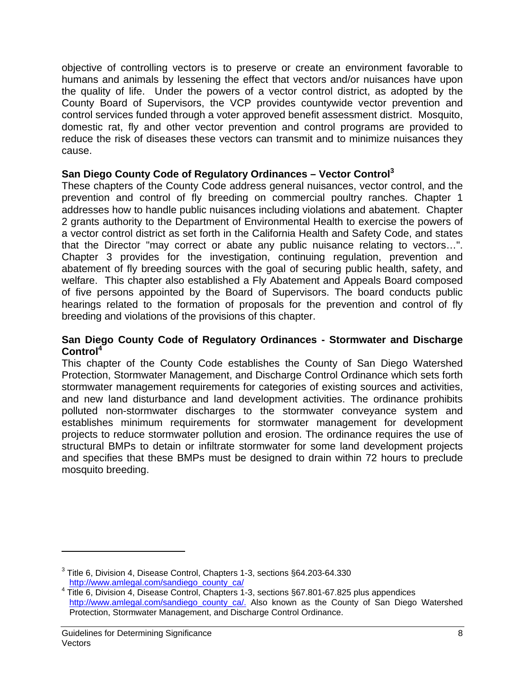objective of controlling vectors is to preserve or create an environment favorable to humans and animals by lessening the effect that vectors and/or nuisances have upon the quality of life. Under the powers of a vector control district, as adopted by the County Board of Supervisors, the VCP provides countywide vector prevention and control services funded through a voter approved benefit assessment district. Mosquito, domestic rat, fly and other vector prevention and control programs are provided to reduce the risk of diseases these vectors can transmit and to minimize nuisances they cause.

#### San Diego County Code of Regulatory Ordinances – Vector Control<sup>3</sup>

These chapters of the County Code address general nuisances, vector control, and the prevention and control of fly breeding on commercial poultry ranches. Chapter 1 addresses how to handle public nuisances including violations and abatement. Chapter 2 grants authority to the Department of Environmental Health to exercise the powers of a vector control district as set forth in the California Health and Safety Code, and states that the Director "may correct or abate any public nuisance relating to vectors…". Chapter 3 provides for the investigation, continuing regulation, prevention and abatement of fly breeding sources with the goal of securing public health, safety, and welfare. This chapter also established a Fly Abatement and Appeals Board composed of five persons appointed by the Board of Supervisors. The board conducts public hearings related to the formation of proposals for the prevention and control of fly breeding and violations of the provisions of this chapter.

#### **San Diego County Code of Regulatory Ordinances - Stormwater and Discharge Control<sup>4</sup>**

This chapter of the County Code establishes the County of San Diego Watershed Protection, Stormwater Management, and Discharge Control Ordinance which sets forth stormwater management requirements for categories of existing sources and activities, and new land disturbance and land development activities. The ordinance prohibits polluted non-stormwater discharges to the stormwater conveyance system and establishes minimum requirements for stormwater management for development projects to reduce stormwater pollution and erosion. The ordinance requires the use of structural BMPs to detain or infiltrate stormwater for some land development projects and specifies that these BMPs must be designed to drain within 72 hours to preclude mosquito breeding.

 $\overline{a}$ 

 $3$  Title 6, Division 4, Disease Control, Chapters 1-3, sections  $\S64.203$ -64.330 http://www.amlegal.com/sandiego\_county\_ca/

Title 6, Division 4, Disease Control, Chapters 1-3, sections §67.801-67.825 plus appendices http://www.amlegal.com/sandiego\_county\_ca/. Also known as the County of San Diego Watershed Protection, Stormwater Management, and Discharge Control Ordinance.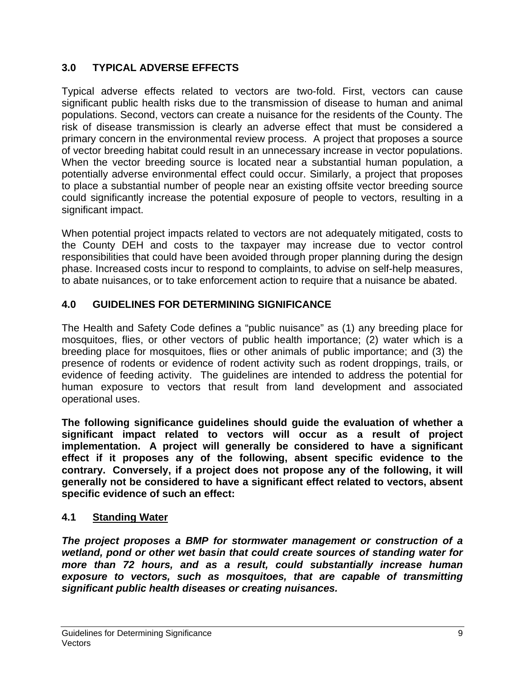## **3.0 TYPICAL ADVERSE EFFECTS**

Typical adverse effects related to vectors are two-fold. First, vectors can cause significant public health risks due to the transmission of disease to human and animal populations. Second, vectors can create a nuisance for the residents of the County. The risk of disease transmission is clearly an adverse effect that must be considered a primary concern in the environmental review process. A project that proposes a source of vector breeding habitat could result in an unnecessary increase in vector populations. When the vector breeding source is located near a substantial human population, a potentially adverse environmental effect could occur. Similarly, a project that proposes to place a substantial number of people near an existing offsite vector breeding source could significantly increase the potential exposure of people to vectors, resulting in a significant impact.

When potential project impacts related to vectors are not adequately mitigated, costs to the County DEH and costs to the taxpayer may increase due to vector control responsibilities that could have been avoided through proper planning during the design phase. Increased costs incur to respond to complaints, to advise on self-help measures, to abate nuisances, or to take enforcement action to require that a nuisance be abated.

## **4.0 GUIDELINES FOR DETERMINING SIGNIFICANCE**

The Health and Safety Code defines a "public nuisance" as (1) any breeding place for mosquitoes, flies, or other vectors of public health importance; (2) water which is a breeding place for mosquitoes, flies or other animals of public importance; and (3) the presence of rodents or evidence of rodent activity such as rodent droppings, trails, or evidence of feeding activity. The guidelines are intended to address the potential for human exposure to vectors that result from land development and associated operational uses.

**The following significance guidelines should guide the evaluation of whether a significant impact related to vectors will occur as a result of project implementation. A project will generally be considered to have a significant effect if it proposes any of the following, absent specific evidence to the contrary. Conversely, if a project does not propose any of the following, it will generally not be considered to have a significant effect related to vectors, absent specific evidence of such an effect:** 

## **4.1 Standing Water**

*The project proposes a BMP for stormwater management or construction of a wetland, pond or other wet basin that could create sources of standing water for more than 72 hours, and as a result, could substantially increase human exposure to vectors, such as mosquitoes, that are capable of transmitting significant public health diseases or creating nuisances.*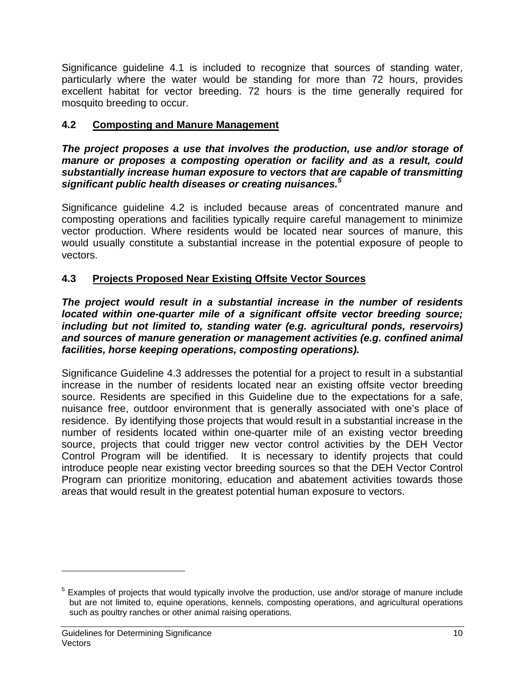Significance guideline 4.1 is included to recognize that sources of standing water, particularly where the water would be standing for more than 72 hours, provides excellent habitat for vector breeding. 72 hours is the time generally required for mosquito breeding to occur.

### **4.2 Composting and Manure Management**

*The project proposes a use that involves the production, use and/or storage of manure or proposes a composting operation or facility and as a result, could substantially increase human exposure to vectors that are capable of transmitting significant public health diseases or creating nuisances.<sup>5</sup>*

Significance guideline 4.2 is included because areas of concentrated manure and composting operations and facilities typically require careful management to minimize vector production. Where residents would be located near sources of manure, this would usually constitute a substantial increase in the potential exposure of people to vectors.

## **4.3 Projects Proposed Near Existing Offsite Vector Sources**

*The project would result in a substantial increase in the number of residents located within one-quarter mile of a significant offsite vector breeding source; including but not limited to, standing water (e.g. agricultural ponds, reservoirs) and sources of manure generation or management activities (e.g. confined animal facilities, horse keeping operations, composting operations).* 

Significance Guideline 4.3 addresses the potential for a project to result in a substantial increase in the number of residents located near an existing offsite vector breeding source. Residents are specified in this Guideline due to the expectations for a safe, nuisance free, outdoor environment that is generally associated with one's place of residence. By identifying those projects that would result in a substantial increase in the number of residents located within one-quarter mile of an existing vector breeding source, projects that could trigger new vector control activities by the DEH Vector Control Program will be identified. It is necessary to identify projects that could introduce people near existing vector breeding sources so that the DEH Vector Control Program can prioritize monitoring, education and abatement activities towards those areas that would result in the greatest potential human exposure to vectors.

 $\overline{a}$ 

<sup>&</sup>lt;sup>5</sup> Examples of projects that would typically involve the production, use and/or storage of manure include but are not limited to, equine operations, kennels, composting operations, and agricultural operations such as poultry ranches or other animal raising operations.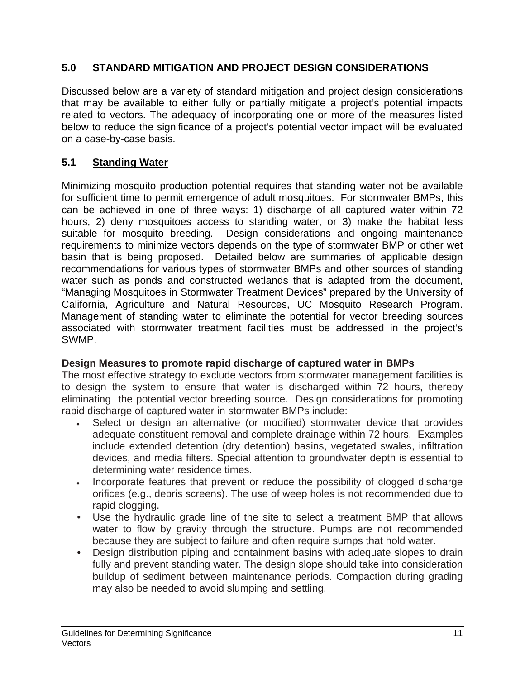## **5.0 STANDARD MITIGATION AND PROJECT DESIGN CONSIDERATIONS**

Discussed below are a variety of standard mitigation and project design considerations that may be available to either fully or partially mitigate a project's potential impacts related to vectors. The adequacy of incorporating one or more of the measures listed below to reduce the significance of a project's potential vector impact will be evaluated on a case-by-case basis.

### **5.1 Standing Water**

Minimizing mosquito production potential requires that standing water not be available for sufficient time to permit emergence of adult mosquitoes. For stormwater BMPs, this can be achieved in one of three ways: 1) discharge of all captured water within 72 hours, 2) deny mosquitoes access to standing water, or 3) make the habitat less suitable for mosquito breeding. Design considerations and ongoing maintenance requirements to minimize vectors depends on the type of stormwater BMP or other wet basin that is being proposed. Detailed below are summaries of applicable design recommendations for various types of stormwater BMPs and other sources of standing water such as ponds and constructed wetlands that is adapted from the document, "Managing Mosquitoes in Stormwater Treatment Devices" prepared by the University of California, Agriculture and Natural Resources, UC Mosquito Research Program. Management of standing water to eliminate the potential for vector breeding sources associated with stormwater treatment facilities must be addressed in the project's SWMP.

#### **Design Measures to promote rapid discharge of captured water in BMPs**

The most effective strategy to exclude vectors from stormwater management facilities is to design the system to ensure that water is discharged within 72 hours, thereby eliminating the potential vector breeding source. Design considerations for promoting rapid discharge of captured water in stormwater BMPs include:

- Select or design an alternative (or modified) stormwater device that provides adequate constituent removal and complete drainage within 72 hours. Examples include extended detention (dry detention) basins, vegetated swales, infiltration devices, and media filters. Special attention to groundwater depth is essential to determining water residence times.
- Incorporate features that prevent or reduce the possibility of clogged discharge orifices (e.g., debris screens). The use of weep holes is not recommended due to rapid clogging.
- Use the hydraulic grade line of the site to select a treatment BMP that allows water to flow by gravity through the structure. Pumps are not recommended because they are subject to failure and often require sumps that hold water.
- Design distribution piping and containment basins with adequate slopes to drain fully and prevent standing water. The design slope should take into consideration buildup of sediment between maintenance periods. Compaction during grading may also be needed to avoid slumping and settling.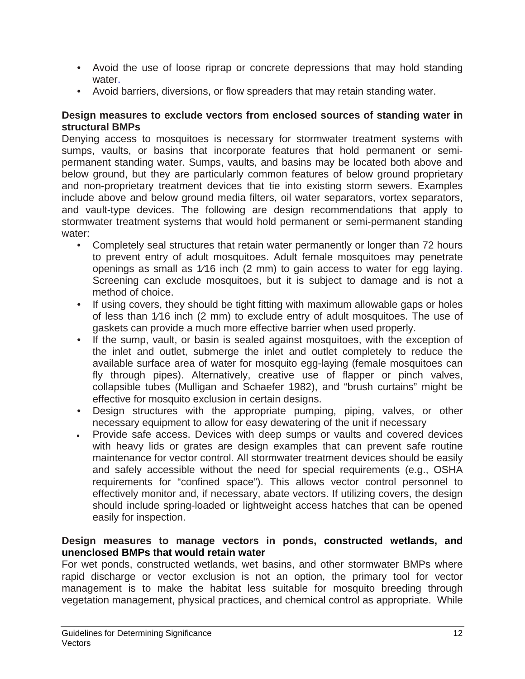- Avoid the use of loose riprap or concrete depressions that may hold standing water.
- Avoid barriers, diversions, or flow spreaders that may retain standing water.

#### **Design measures to exclude vectors from enclosed sources of standing water in structural BMPs**

Denying access to mosquitoes is necessary for stormwater treatment systems with sumps, vaults, or basins that incorporate features that hold permanent or semipermanent standing water. Sumps, vaults, and basins may be located both above and below ground, but they are particularly common features of below ground proprietary and non-proprietary treatment devices that tie into existing storm sewers. Examples include above and below ground media filters, oil water separators, vortex separators, and vault-type devices. The following are design recommendations that apply to stormwater treatment systems that would hold permanent or semi-permanent standing water:

- Completely seal structures that retain water permanently or longer than 72 hours to prevent entry of adult mosquitoes. Adult female mosquitoes may penetrate openings as small as 1⁄16 inch (2 mm) to gain access to water for egg laying. Screening can exclude mosquitoes, but it is subject to damage and is not a method of choice.
- If using covers, they should be tight fitting with maximum allowable gaps or holes of less than 1⁄16 inch (2 mm) to exclude entry of adult mosquitoes. The use of gaskets can provide a much more effective barrier when used properly.
- If the sump, vault, or basin is sealed against mosquitoes, with the exception of the inlet and outlet, submerge the inlet and outlet completely to reduce the available surface area of water for mosquito egg-laying (female mosquitoes can fly through pipes). Alternatively, creative use of flapper or pinch valves, collapsible tubes (Mulligan and Schaefer 1982), and "brush curtains" might be effective for mosquito exclusion in certain designs.
- Design structures with the appropriate pumping, piping, valves, or other necessary equipment to allow for easy dewatering of the unit if necessary
- Provide safe access. Devices with deep sumps or vaults and covered devices with heavy lids or grates are design examples that can prevent safe routine maintenance for vector control. All stormwater treatment devices should be easily and safely accessible without the need for special requirements (e.g., OSHA requirements for "confined space"). This allows vector control personnel to effectively monitor and, if necessary, abate vectors. If utilizing covers, the design should include spring-loaded or lightweight access hatches that can be opened easily for inspection.

#### **Design measures to manage vectors in ponds, constructed wetlands, and unenclosed BMPs that would retain water**

For wet ponds, constructed wetlands, wet basins, and other stormwater BMPs where rapid discharge or vector exclusion is not an option, the primary tool for vector management is to make the habitat less suitable for mosquito breeding through vegetation management, physical practices, and chemical control as appropriate. While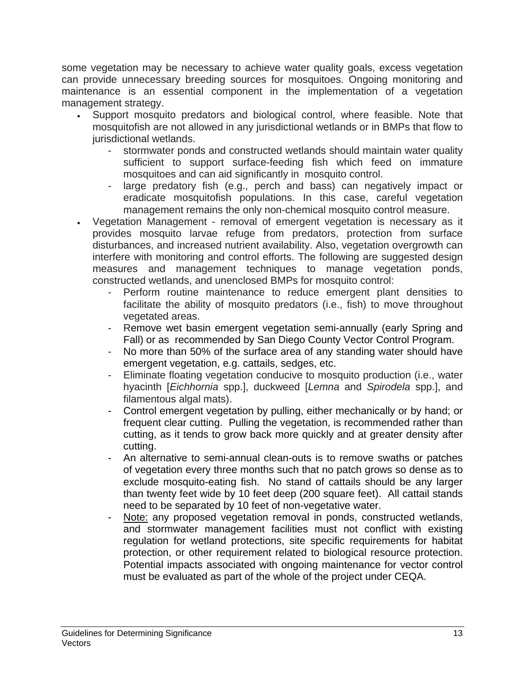some vegetation may be necessary to achieve water quality goals, excess vegetation can provide unnecessary breeding sources for mosquitoes. Ongoing monitoring and maintenance is an essential component in the implementation of a vegetation management strategy.

- Support mosquito predators and biological control, where feasible. Note that mosquitofish are not allowed in any jurisdictional wetlands or in BMPs that flow to jurisdictional wetlands.
	- stormwater ponds and constructed wetlands should maintain water quality sufficient to support surface-feeding fish which feed on immature mosquitoes and can aid significantly in mosquito control.
	- large predatory fish (e.g., perch and bass) can negatively impact or eradicate mosquitofish populations. In this case, careful vegetation management remains the only non-chemical mosquito control measure.
- Vegetation Management removal of emergent vegetation is necessary as it provides mosquito larvae refuge from predators, protection from surface disturbances, and increased nutrient availability. Also, vegetation overgrowth can interfere with monitoring and control efforts. The following are suggested design measures and management techniques to manage vegetation ponds, constructed wetlands, and unenclosed BMPs for mosquito control:
	- Perform routine maintenance to reduce emergent plant densities to facilitate the ability of mosquito predators (i.e., fish) to move throughout vegetated areas.
	- Remove wet basin emergent vegetation semi-annually (early Spring and Fall) or as recommended by San Diego County Vector Control Program.
	- No more than 50% of the surface area of any standing water should have emergent vegetation, e.g. cattails, sedges, etc.
	- Eliminate floating vegetation conducive to mosquito production (i.e., water hyacinth [*Eichhornia* spp.], duckweed [*Lemna* and *Spirodela* spp.], and filamentous algal mats).
	- Control emergent vegetation by pulling, either mechanically or by hand; or frequent clear cutting. Pulling the vegetation, is recommended rather than cutting, as it tends to grow back more quickly and at greater density after cutting.
	- An alternative to semi-annual clean-outs is to remove swaths or patches of vegetation every three months such that no patch grows so dense as to exclude mosquito-eating fish. No stand of cattails should be any larger than twenty feet wide by 10 feet deep (200 square feet). All cattail stands need to be separated by 10 feet of non-vegetative water.
	- Note: any proposed vegetation removal in ponds, constructed wetlands, and stormwater management facilities must not conflict with existing regulation for wetland protections, site specific requirements for habitat protection, or other requirement related to biological resource protection. Potential impacts associated with ongoing maintenance for vector control must be evaluated as part of the whole of the project under CEQA.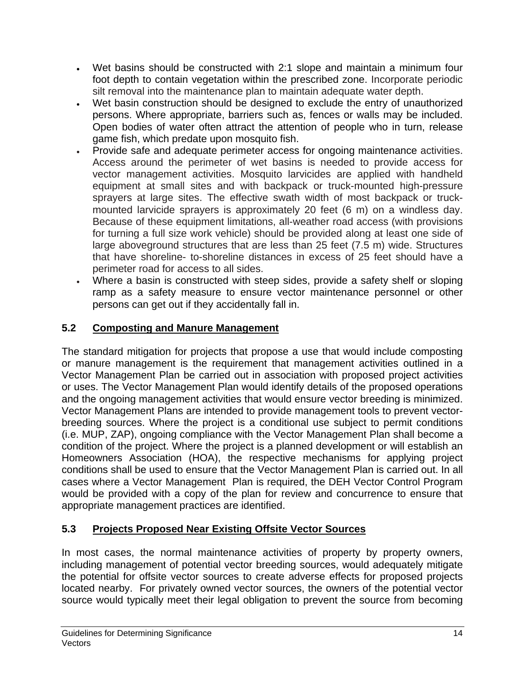- Wet basins should be constructed with 2:1 slope and maintain a minimum four foot depth to contain vegetation within the prescribed zone. Incorporate periodic silt removal into the maintenance plan to maintain adequate water depth.
- Wet basin construction should be designed to exclude the entry of unauthorized persons. Where appropriate, barriers such as, fences or walls may be included. Open bodies of water often attract the attention of people who in turn, release game fish, which predate upon mosquito fish.
- Provide safe and adequate perimeter access for ongoing maintenance activities. Access around the perimeter of wet basins is needed to provide access for vector management activities. Mosquito larvicides are applied with handheld equipment at small sites and with backpack or truck-mounted high-pressure sprayers at large sites. The effective swath width of most backpack or truckmounted larvicide sprayers is approximately 20 feet (6 m) on a windless day. Because of these equipment limitations, all-weather road access (with provisions for turning a full size work vehicle) should be provided along at least one side of large aboveground structures that are less than 25 feet (7.5 m) wide. Structures that have shoreline- to-shoreline distances in excess of 25 feet should have a perimeter road for access to all sides.
- Where a basin is constructed with steep sides, provide a safety shelf or sloping ramp as a safety measure to ensure vector maintenance personnel or other persons can get out if they accidentally fall in.

## **5.2 Composting and Manure Management**

The standard mitigation for projects that propose a use that would include composting or manure management is the requirement that management activities outlined in a Vector Management Plan be carried out in association with proposed project activities or uses. The Vector Management Plan would identify details of the proposed operations and the ongoing management activities that would ensure vector breeding is minimized. Vector Management Plans are intended to provide management tools to prevent vectorbreeding sources. Where the project is a conditional use subject to permit conditions (i.e. MUP, ZAP), ongoing compliance with the Vector Management Plan shall become a condition of the project. Where the project is a planned development or will establish an Homeowners Association (HOA), the respective mechanisms for applying project conditions shall be used to ensure that the Vector Management Plan is carried out. In all cases where a Vector Management Plan is required, the DEH Vector Control Program would be provided with a copy of the plan for review and concurrence to ensure that appropriate management practices are identified.

## **5.3 Projects Proposed Near Existing Offsite Vector Sources**

In most cases, the normal maintenance activities of property by property owners, including management of potential vector breeding sources, would adequately mitigate the potential for offsite vector sources to create adverse effects for proposed projects located nearby. For privately owned vector sources, the owners of the potential vector source would typically meet their legal obligation to prevent the source from becoming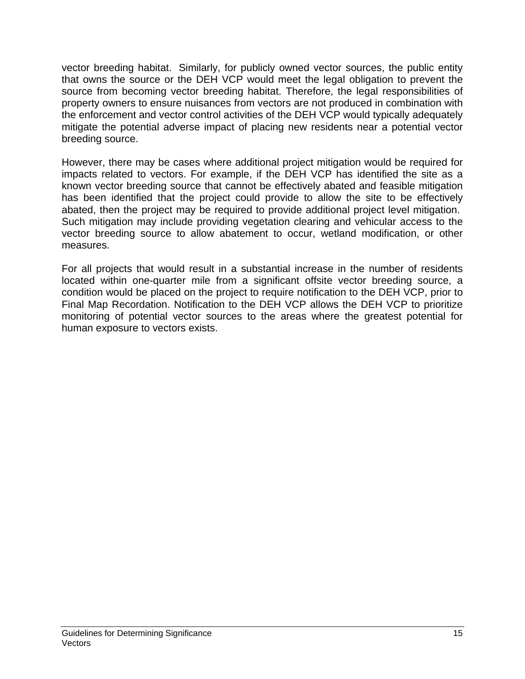vector breeding habitat. Similarly, for publicly owned vector sources, the public entity that owns the source or the DEH VCP would meet the legal obligation to prevent the source from becoming vector breeding habitat. Therefore, the legal responsibilities of property owners to ensure nuisances from vectors are not produced in combination with the enforcement and vector control activities of the DEH VCP would typically adequately mitigate the potential adverse impact of placing new residents near a potential vector breeding source.

However, there may be cases where additional project mitigation would be required for impacts related to vectors. For example, if the DEH VCP has identified the site as a known vector breeding source that cannot be effectively abated and feasible mitigation has been identified that the project could provide to allow the site to be effectively abated, then the project may be required to provide additional project level mitigation. Such mitigation may include providing vegetation clearing and vehicular access to the vector breeding source to allow abatement to occur, wetland modification, or other measures.

For all projects that would result in a substantial increase in the number of residents located within one-quarter mile from a significant offsite vector breeding source, a condition would be placed on the project to require notification to the DEH VCP, prior to Final Map Recordation. Notification to the DEH VCP allows the DEH VCP to prioritize monitoring of potential vector sources to the areas where the greatest potential for human exposure to vectors exists.